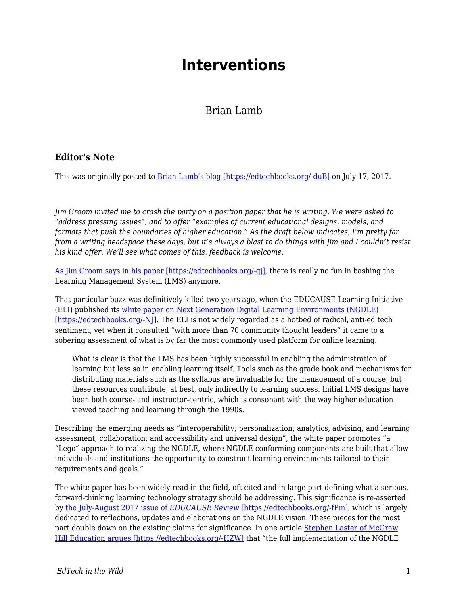## **Interventions**

## Brian Lamb

## **Editor's Note**

This was originally posted to **Brian Lamb's blog [https://edtechbooks.org/-duB]** on July 17, 2017.

*Jim Groom invited me to crash the party on a position paper that he is writing. We were asked to "address pressing issues", and to offer "examples of current educational designs, models, and formats that push the boundaries of higher education." As the draft below indicates, I'm pretty far from a writing headspace these days, but it's always a blast to do things with Jim and I couldn't resist his kind offer. We'll see what comes of this, feedback is welcome.*

[As Jim Groom says in his paper \[https://edtechbooks.org/-gj\]](http://bavatuesdays.com/the-lms-is-dead-not-unlike-god-thoughts-on-the-ngdle/), there is really no fun in bashing the Learning Management System (LMS) anymore.

That particular buzz was definitively killed two years ago, when the EDUCAUSE Learning Initiative (ELI) published its [white paper on Next Generation Digital Learning Environments \(NGDLE\)](http://library.educause.edu/~/media/files/library/2015/4/eli3035-pdf.pdf) [\[https://edtechbooks.org/-NJ\].](http://library.educause.edu/~/media/files/library/2015/4/eli3035-pdf.pdf) The ELI is not widely regarded as a hotbed of radical, anti-ed tech sentiment, yet when it consulted "with more than 70 community thought leaders" it came to a sobering assessment of what is by far the most commonly used platform for online learning:

What is clear is that the LMS has been highly successful in enabling the administration of learning but less so in enabling learning itself. Tools such as the grade book and mechanisms for distributing materials such as the syllabus are invaluable for the management of a course, but these resources contribute, at best, only indirectly to learning success. Initial LMS designs have been both course- and instructor-centric, which is consonant with the way higher education viewed teaching and learning through the 1990s.

Describing the emerging needs as "interoperability; personalization; analytics, advising, and learning assessment; collaboration; and accessibility and universal design", the white paper promotes "a "Lego" approach to realizing the NGDLE, where NGDLE-conforming components are built that allow individuals and institutions the opportunity to construct learning environments tailored to their requirements and goals."

The white paper has been widely read in the field, oft-cited and in large part defining what a serious, forward-thinking learning technology strategy should be addressing. This significance is re-asserted by [the July-August 2017 issue of](http://er.educause.edu/toc/educause-review-print-edition-volume-52-number-4-july-august-2017) *[EDUCAUSE Review](http://er.educause.edu/toc/educause-review-print-edition-volume-52-number-4-july-august-2017)* [\[https://edtechbooks.org/-fPm\]](http://er.educause.edu/toc/educause-review-print-edition-volume-52-number-4-july-august-2017)*,* which is largely dedicated to reflections, updates and elaborations on the NGDLE vision. These pieces for the most part double down on the existing claims for significance. In one article [Stephen Laster of McGraw](http://er.educause.edu/articles/2017/7/tearing-down-walls-to-deliver-on-the-promise-of-edtech) [Hill Education argues \[https://edtechbooks.org/-HZW\]](http://er.educause.edu/articles/2017/7/tearing-down-walls-to-deliver-on-the-promise-of-edtech) that "the full implementation of the NGDLE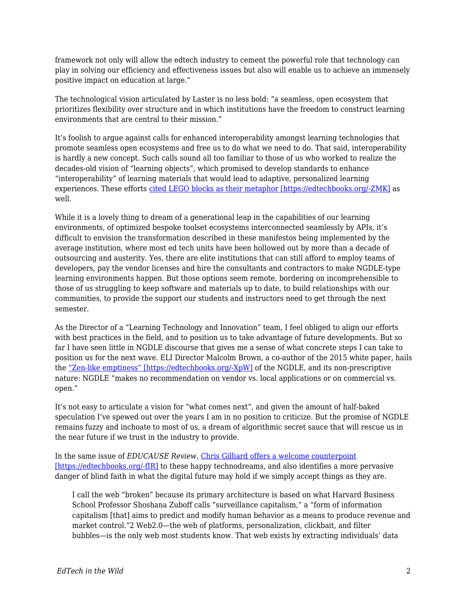framework not only will allow the edtech industry to cement the powerful role that technology can play in solving our efficiency and effectiveness issues but also will enable us to achieve an immensely positive impact on education at large."

The technological vision articulated by Laster is no less bold: "a seamless, open ecosystem that prioritizes flexibility over structure and in which institutions have the freedom to construct learning environments that are central to their mission."

It's foolish to argue against calls for enhanced interoperability amongst learning technologies that promote seamless open ecosystems and free us to do what we need to do. That said, interoperability is hardly a new concept. Such calls sound all too familiar to those of us who worked to realize the decades-old vision of "learning objects", which promised to develop standards to enhance "interoperability" of learning materials that would lead to adaptive, personalized learning experiences. These efforts [cited LEGO blocks as their metaphor \[https://edtechbooks.org/-ZMK\]](http://www.cjlt.ca/index.php/cjlt/article/view/26572/19754) as well.

While it is a lovely thing to dream of a generational leap in the capabilities of our learning environments, of optimized bespoke toolset ecosystems interconnected seamlessly by APIs, it's difficult to envision the transformation described in these manifestos being implemented by the average institution, where most ed tech units have been hollowed out by more than a decade of outsourcing and austerity. Yes, there are elite institutions that can still afford to employ teams of developers, pay the vendor licenses and hire the consultants and contractors to make NGDLE-type learning environments happen. But those options seem remote, bordering on incomprehensible to those of us struggling to keep software and materials up to date, to build relationships with our communities, to provide the support our students and instructors need to get through the next semester.

As the Director of a "Learning Technology and Innovation" team, I feel obliged to align our efforts with best practices in the field, and to position us to take advantage of future developments. But so far I have seen little in NGDLE discourse that gives me a sense of what concrete steps I can take to position us for the next wave. ELI Director Malcolm Brown, a co-author of the 2015 white paper, hails the ["Zen-like emptiness" \[https://edtechbooks.org/-XpW\]](http://er.educause.edu/articles/2017/7/the-ngdle-we-are-the-architects) of the NGDLE, and its non-prescriptive nature: NGDLE "makes no recommendation on vendor vs. local applications or on commercial vs. open."

It's not easy to articulate a vision for "what comes next", and given the amount of half-baked speculation I've spewed out over the years I am in no position to criticize. But the promise of NGDLE remains fuzzy and inchoate to most of us, a dream of algorithmic secret sauce that will rescue us in the near future if we trust in the industry to provide.

In the same issue of *EDUCAUSE Review*, [Chris Gilliard offers a welcome counterpoint](http://er.educause.edu/articles/2017/7/pedagogy-and-the-logic-of-platforms) [\[https://edtechbooks.org/-fIR\]](http://er.educause.edu/articles/2017/7/pedagogy-and-the-logic-of-platforms) to these happy technodreams, and also identifies a more pervasive danger of blind faith in what the digital future may hold if we simply accept things as they are.

I call the web "broken" because its primary architecture is based on what Harvard Business School Professor Shoshana Zuboff calls "surveillance capitalism," a "form of information capitalism [that] aims to predict and modify human behavior as a means to produce revenue and market control."2 Web2.0—the web of platforms, personalization, clickbait, and filter bubbles—is the only web most students know. That web exists by extracting individuals' data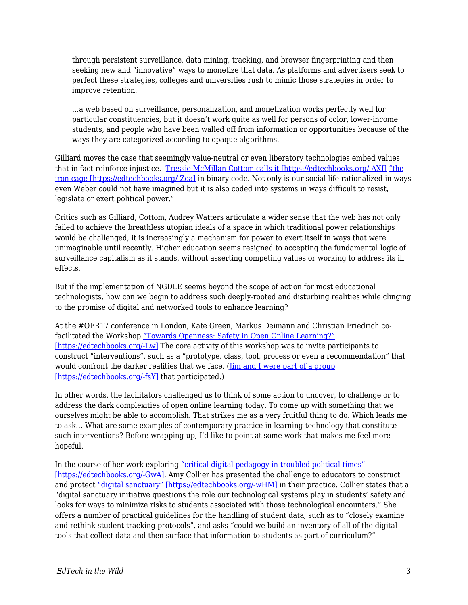through persistent surveillance, data mining, tracking, and browser fingerprinting and then seeking new and "innovative" ways to monetize that data. As platforms and advertisers seek to perfect these strategies, colleges and universities rush to mimic those strategies in order to improve retention.

…a web based on surveillance, personalization, and monetization works perfectly well for particular constituencies, but it doesn't work quite as well for persons of color, lower-income students, and people who have been walled off from information or opportunities because of the ways they are categorized according to opaque algorithms.

Gilliard moves the case that seemingly value-neutral or even liberatory technologies embed values that in fact reinforce injustice. [Tressie McMillan Cottom calls it \[https://edtechbooks.org/-AXI\]](https://tressiemc.com/uncategorized/credit-scores-life-chances-and-algorithms/) ["the](http://academic.udayton.edu/RichardGhere/POL%20307/weber.htm) [iron cage \[https://edtechbooks.org/-Zoa\]](http://academic.udayton.edu/RichardGhere/POL%20307/weber.htm) in binary code. Not only is our social life rationalized in ways even Weber could not have imagined but it is also coded into systems in ways difficult to resist, legislate or exert political power."

Critics such as Gilliard, Cottom, Audrey Watters articulate a wider sense that the web has not only failed to achieve the breathless utopian ideals of a space in which traditional power relationships would be challenged, it is increasingly a mechanism for power to exert itself in ways that were unimaginable until recently. Higher education seems resigned to accepting the fundamental logic of surveillance capitalism as it stands, without asserting competing values or working to address its ill effects.

But if the implementation of NGDLE seems beyond the scope of action for most educational technologists, how can we begin to address such deeply-rooted and disturbing realities while clinging to the promise of digital and networked tools to enhance learning?

At the #OER17 conference in London, Kate Green, Markus Deimann and Christian Friedrich cofacilitated the Workshop ["Towards Openness: Safety in Open Online Learning?"](https://towards-openness.org/conference-workshops/oer17/) [\[https://edtechbooks.org/-Lw\]](https://towards-openness.org/conference-workshops/oer17/) The core activity of this workshop was to invite participants to construct "interventions", such as a "prototype, class, tool, process or even a recommendation" that would confront the darker realities that we face. [\(Jim and I were part of a group](http://bavatuesdays.com/towards-open-counter-data-surveillance/) [\[https://edtechbooks.org/-fsY\]](http://bavatuesdays.com/towards-open-counter-data-surveillance/) that participated.)

In other words, the facilitators challenged us to think of some action to uncover, to challenge or to address the dark complexities of open online learning today. To come up with something that we ourselves might be able to accomplish. That strikes me as a very fruitful thing to do. Which leads me to ask… What are some examples of contemporary practice in learning technology that constitute such interventions? Before wrapping up, I'd like to point at some work that makes me feel more hopeful.

In the course of her work exploring ["critical digital pedagogy in troubled political times"](http://redpincushion.us/blog/i-cant-categorize-this/it-should-be-necessary-to-start-critical-digital-pedagogy-in-troubled-political-times/) [\[https://edtechbooks.org/-GwA\],](http://redpincushion.us/blog/i-cant-categorize-this/it-should-be-necessary-to-start-critical-digital-pedagogy-in-troubled-political-times/) Amy Collier has presented the challenge to educators to construct and protect ["digital sanctuary" \[https://edtechbooks.org/-wHM\]](http://digitallearning.middcreate.net/critical-digital-pedagogy/exploring-digital-sanctuary/) in their practice. Collier states that a "digital sanctuary initiative questions the role our technological systems play in students' safety and looks for ways to minimize risks to students associated with those technological encounters." She offers a number of practical guidelines for the handling of student data, such as to "closely examine and rethink student tracking protocols", and asks "could we build an inventory of all of the digital tools that collect data and then surface that information to students as part of curriculum?"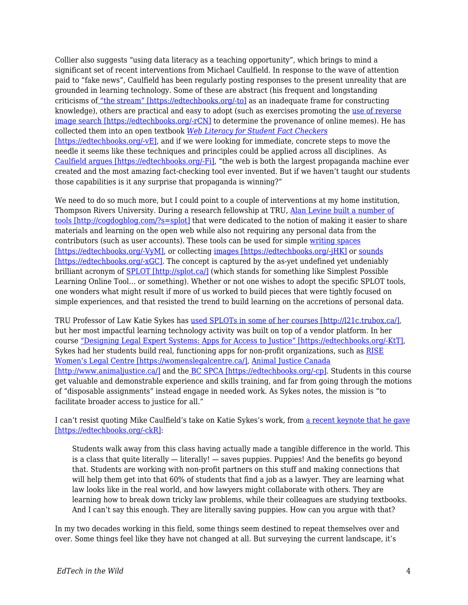Collier also suggests "using data literacy as a teaching opportunity", which brings to mind a significant set of recent interventions from Michael Caulfield. In response to the wave of attention paid to "fake news", Caulfield has been regularly posting responses to the present unreality that are grounded in learning technology. Some of these are abstract (his frequent and longstanding criticisms of ["the stream" \[https://edtechbooks.org/-to\]](https://hapgood.us/2017/02/13/web-literacy-for-student-fact-checkers-is-out/) as an inadequate frame for constructing knowledge), others are practical and easy to adopt (such as exercises promoting the [use of reverse](https://hapgood.us/2017/04/12/todays-reverse-image-challenge/) [image search \[https://edtechbooks.org/-rCN\]](https://hapgood.us/2017/04/12/todays-reverse-image-challenge/) to determine the provenance of online memes). He has collected them into an open textbook *[Web Literacy for Student Fact Checkers](https://webliteracy.pressbooks.com/)* [\[https://edtechbooks.org/-vE\]](https://webliteracy.pressbooks.com/), and if we were looking for immediate, concrete steps to move the needle it seems like these techniques and principles could be applied across all disciplines. As [Caulfield argues \[https://edtechbooks.org/-Fi\]](https://webliteracy.pressbooks.com/chapter/chapter-1/), "the web is both the largest propaganda machine ever created and the most amazing fact-checking tool ever invented. But if we haven't taught our students those capabilities is it any surprise that propaganda is winning?"

We need to do so much more, but I could point to a couple of interventions at my home institution, Thompson Rivers University. During a research fellowship at TRU, [Alan Levine built a number of](http://cogdogblog.com/?s=splot) [tools \[http://cogdogblog.com/?s=splot\]](http://cogdogblog.com/?s=splot) that were dedicated to the notion of making it easier to share materials and learning on the open web while also not requiring any personal data from the contributors (such as user accounts). These tools can be used for simple [writing spaces](http://splot.ca/splots/tru-writer/) [\[https://edtechbooks.org/-VyM\]](http://splot.ca/splots/tru-writer/), or collecting [images \[https://edtechbooks.org/-jHK\]](http://splot.ca/splots/tru-collector/) or [sounds](http://splot.ca/splots/tru-sounder/) [\[https://edtechbooks.org/-xGC\].](http://splot.ca/splots/tru-sounder/) The concept is captured by the as-yet undefined yet undeniably brilliant acronym of **SPLOT** [http://splot.ca/] (which stands for something like Simplest Possible Learning Online Tool… or something). Whether or not one wishes to adopt the specific SPLOT tools, one wonders what might result if more of us worked to build pieces that were tightly focused on simple experiences, and that resisted the trend to build learning on the accretions of personal data.

TRU Professor of Law Katie Sykes has [used SPLOTs in some of her courses \[http://l21c.trubox.ca/\],](http://l21c.trubox.ca/) but her most impactful learning technology activity was built on top of a vendor platform. In her course ["Designing Legal Expert Systems: Apps for Access to Justice" \[https://edtechbooks.org/-KtT\],](https://inside.tru.ca/2017/04/20/law-students-compete-in-battle-of-the-apps/) Sykes had her students build real, functioning apps for non-profit organizations, such as [RISE](https://womenslegalcentre.ca/) [Women's Legal Centre \[https://womenslegalcentre.ca/\],](https://womenslegalcentre.ca/) [Animal Justice Canada](http://www.animaljustice.ca/) [\[http://www.animaljustice.ca/\]](http://www.animaljustice.ca/) and th[e BC SPCA \[https://edtechbooks.org/-cp\]](http://www.spca.bc.ca/?referrer=http://spca.bc.ca/?referrer=https://www.google.ca/). Students in this course get valuable and demonstrable experience and skills training, and far from going through the motions of "disposable assignments" instead engage in needed work. As Sykes notes, the mission is "to facilitate broader access to justice for all."

I can't resist quoting Mike Caulfield's take on Katie Sykes's work, from [a recent keynote that he gave](https://docs.google.com/document/d/1pZS0VmvYjbkUfZBTlhjmBIK1xvypPmNLxjtJz4pPM2k/edit) [\[https://edtechbooks.org/-ckR\]:](https://docs.google.com/document/d/1pZS0VmvYjbkUfZBTlhjmBIK1xvypPmNLxjtJz4pPM2k/edit)

Students walk away from this class having actually made a tangible difference in the world. This is a class that quite literally  $-$  literally!  $-$  saves puppies. Puppies! And the benefits go beyond that. Students are working with non-profit partners on this stuff and making connections that will help them get into that 60% of students that find a job as a lawyer. They are learning what law looks like in the real world, and how lawyers might collaborate with others. They are learning how to break down tricky law problems, while their colleagues are studying textbooks. And I can't say this enough. They are literally saving puppies. How can you argue with that?

In my two decades working in this field, some things seem destined to repeat themselves over and over. Some things feel like they have not changed at all. But surveying the current landscape, it's